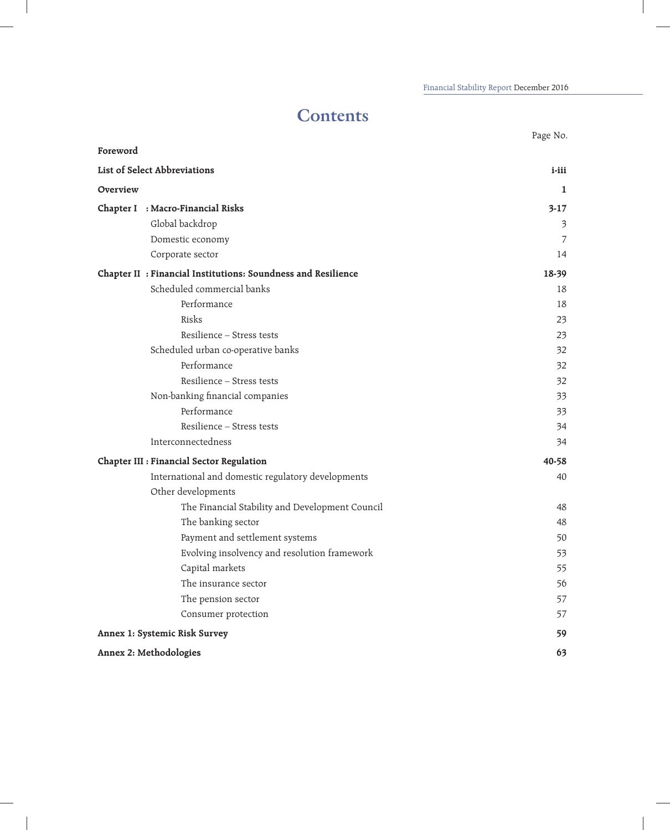## **Contents**

|                               |                                                               | Page No.                |
|-------------------------------|---------------------------------------------------------------|-------------------------|
| Foreword                      |                                                               |                         |
|                               | List of Select Abbreviations                                  | $i$ -iii                |
| Overview                      |                                                               | 1                       |
|                               | Chapter I : Macro-Financial Risks                             | $3-17$                  |
|                               | Global backdrop                                               | $\overline{\mathbf{3}}$ |
|                               | Domestic economy                                              | 7                       |
|                               | Corporate sector                                              | 14                      |
|                               | Chapter II : Financial Institutions: Soundness and Resilience | 18-39                   |
|                               | Scheduled commercial banks                                    | 18                      |
|                               | Performance                                                   | 18                      |
|                               | Risks                                                         | 23                      |
|                               | Resilience - Stress tests                                     | 23                      |
|                               | Scheduled urban co-operative banks                            | 32                      |
|                               | Performance                                                   | 32                      |
|                               | Resilience - Stress tests                                     | 32                      |
|                               | Non-banking financial companies                               | 33                      |
|                               | Performance                                                   | 33                      |
|                               | Resilience - Stress tests                                     | 34                      |
|                               | Interconnectedness                                            | 34                      |
|                               | Chapter III : Financial Sector Regulation                     | 40-58                   |
|                               | International and domestic regulatory developments            | 40                      |
|                               | Other developments                                            |                         |
|                               | The Financial Stability and Development Council               | 48                      |
|                               | The banking sector                                            | 48                      |
|                               | Payment and settlement systems                                | 50                      |
|                               | Evolving insolvency and resolution framework                  | 53                      |
|                               | Capital markets                                               | 55                      |
|                               | The insurance sector                                          | 56                      |
|                               | The pension sector                                            | 57                      |
|                               | Consumer protection                                           | 57                      |
| Annex 1: Systemic Risk Survey |                                                               | 59                      |
| Annex 2: Methodologies        |                                                               | 63                      |

 $\overline{\phantom{a}}$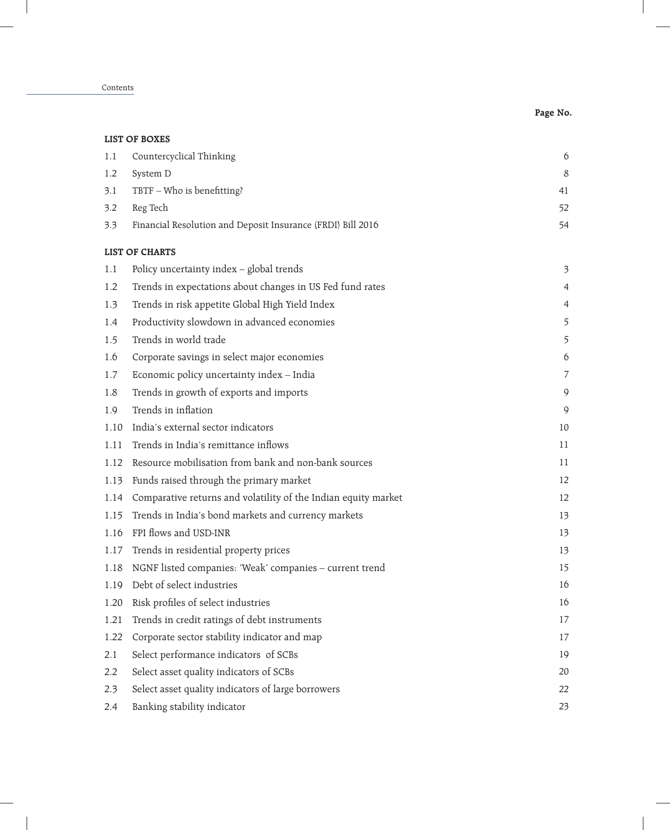Contents

 $\overline{\phantom{a}}$ 

 $\overline{\phantom{a}}$ 

| LIST OF BOXES |                                                                |                         |  |  |
|---------------|----------------------------------------------------------------|-------------------------|--|--|
| 1.1           | Countercyclical Thinking                                       | 6                       |  |  |
| 1.2           | System D                                                       | 8                       |  |  |
| 3.1           | TBTF - Who is benefitting?                                     | 41                      |  |  |
| 3.2           | Reg Tech                                                       | 52                      |  |  |
| 3.3           | Financial Resolution and Deposit Insurance (FRDI) Bill 2016    | 54                      |  |  |
|               | <b>LIST OF CHARTS</b>                                          |                         |  |  |
| 1.1           | Policy uncertainty index - global trends                       | $\overline{\mathbf{3}}$ |  |  |
| 1.2           | Trends in expectations about changes in US Fed fund rates      | 4                       |  |  |
| 1.3           | Trends in risk appetite Global High Yield Index                | 4                       |  |  |
| 1.4           | Productivity slowdown in advanced economies                    | 5                       |  |  |
| 1.5           | Trends in world trade                                          | 5                       |  |  |
| 1.6           | Corporate savings in select major economies                    | 6                       |  |  |
| 1.7           | Economic policy uncertainty index - India                      | 7                       |  |  |
| 1.8           | Trends in growth of exports and imports                        | 9                       |  |  |
| 1.9           | Trends in inflation                                            | 9                       |  |  |
| 1.10          | India's external sector indicators                             | 10                      |  |  |
| 1.11          | Trends in India's remittance inflows                           | 11                      |  |  |
| 1.12          | Resource mobilisation from bank and non-bank sources           | 11                      |  |  |
| 1.13          | Funds raised through the primary market                        | 12                      |  |  |
| 1.14          | Comparative returns and volatility of the Indian equity market | 12                      |  |  |
| 1.15          | Trends in India's bond markets and currency markets            | 13                      |  |  |
| 1.16          | FPI flows and USD-INR                                          | 13                      |  |  |
| 1.17          | Trends in residential property prices                          | 13                      |  |  |
| 1.18          | NGNF listed companies: 'Weak' companies - current trend        | 15                      |  |  |
| 1.19          | Debt of select industries                                      | 16                      |  |  |
| 1.20          | Risk profiles of select industries                             | 16                      |  |  |
| 1.21          | Trends in credit ratings of debt instruments                   | 17                      |  |  |
| 1.22          | Corporate sector stability indicator and map                   | 17                      |  |  |
| 2.1           | Select performance indicators of SCBs                          | 19                      |  |  |
| 2.2           | Select asset quality indicators of SCBs                        | 20                      |  |  |
| 2.3           | Select asset quality indicators of large borrowers             | 22                      |  |  |
| 2.4           | Banking stability indicator                                    | 23                      |  |  |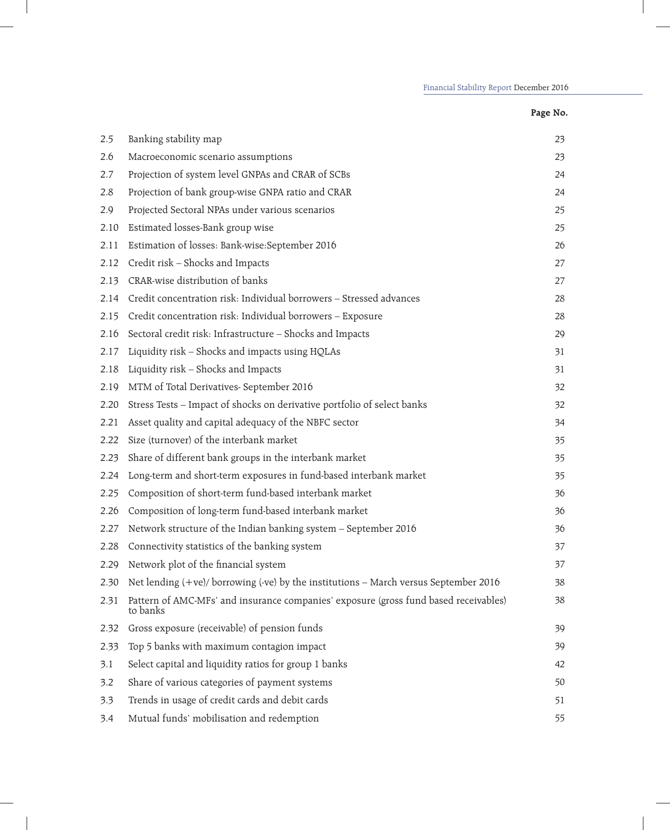| 2.5  | Banking stability map                                                                            | 23 |
|------|--------------------------------------------------------------------------------------------------|----|
| 2.6  | Macroeconomic scenario assumptions                                                               | 23 |
| 2.7  | Projection of system level GNPAs and CRAR of SCBs                                                | 24 |
| 2.8  | Projection of bank group-wise GNPA ratio and CRAR                                                | 24 |
| 2.9  | Projected Sectoral NPAs under various scenarios                                                  | 25 |
| 2.10 | Estimated losses-Bank group wise                                                                 | 25 |
| 2.11 | Estimation of losses: Bank-wise:September 2016                                                   | 26 |
| 2.12 | Credit risk - Shocks and Impacts                                                                 | 27 |
| 2.13 | CRAR-wise distribution of banks                                                                  | 27 |
| 2.14 | Credit concentration risk: Individual borrowers - Stressed advances                              | 28 |
| 2.15 | Credit concentration risk: Individual borrowers - Exposure                                       | 28 |
| 2.16 | Sectoral credit risk: Infrastructure - Shocks and Impacts                                        | 29 |
| 2.17 | Liquidity risk - Shocks and impacts using HQLAs                                                  | 31 |
| 2.18 | Liquidity risk - Shocks and Impacts                                                              | 31 |
| 2.19 | MTM of Total Derivatives- September 2016                                                         | 32 |
| 2.20 | Stress Tests - Impact of shocks on derivative portfolio of select banks                          | 32 |
| 2.21 | Asset quality and capital adequacy of the NBFC sector                                            | 34 |
| 2.22 | Size (turnover) of the interbank market                                                          | 35 |
| 2.23 | Share of different bank groups in the interbank market                                           | 35 |
| 2.24 | Long-term and short-term exposures in fund-based interbank market                                | 35 |
| 2.25 | Composition of short-term fund-based interbank market                                            | 36 |
| 2.26 | Composition of long-term fund-based interbank market                                             | 36 |
| 2.27 | Network structure of the Indian banking system - September 2016                                  | 36 |
| 2.28 | Connectivity statistics of the banking system                                                    | 37 |
| 2.29 | Network plot of the financial system                                                             | 37 |
| 2.30 | Net lending $(+ve)/$ borrowing $(-ve)$ by the institutions – March versus September 2016         | 38 |
| 2.31 | Pattern of AMC-MFs' and insurance companies' exposure (gross fund based receivables)<br>to banks | 38 |
| 2.32 | Gross exposure (receivable) of pension funds                                                     | 39 |
| 2.33 | Top 5 banks with maximum contagion impact                                                        | 39 |
| 3.1  | Select capital and liquidity ratios for group 1 banks                                            | 42 |
| 3.2  | Share of various categories of payment systems                                                   | 50 |
| 3.3  | Trends in usage of credit cards and debit cards                                                  | 51 |
| 3.4  | Mutual funds' mobilisation and redemption                                                        | 55 |

## **Page No.**